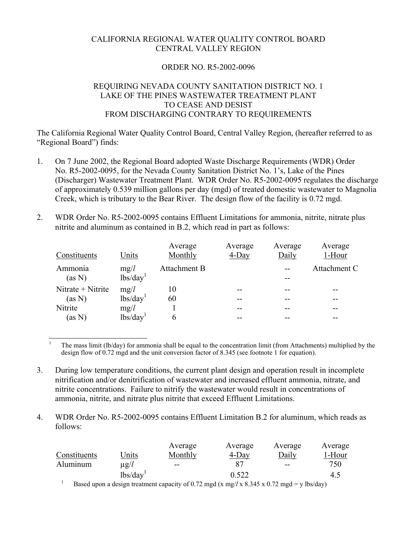# CALIFORNIA REGIONAL WATER QUALITY CONTROL BOARD CENTRAL VALLEY REGION

# ORDER NO. R5-2002-0096

# REQUIRING NEVADA COUNTY SANITATION DISTRICT NO. 1 LAKE OF THE PINES WASTEWATER TREATMENT PLANT TO CEASE AND DESIST FROM DISCHARGING CONTRARY TO REQUIREMENTS

The California Regional Water Quality Control Board, Central Valley Region, (hereafter referred to as "Regional Board") finds:

- 1. On 7 June 2002, the Regional Board adopted Waste Discharge Requirements (WDR) Order No. R5-2002-0095, for the Nevada County Sanitation District No. 1's, Lake of the Pines (Discharger) Wastewater Treatment Plant. WDR Order No. R5-2002-0095 regulates the discharge of approximately 0.539 million gallons per day (mgd) of treated domestic wastewater to Magnolia Creek, which is tributary to the Bear River. The design flow of the facility is 0.72 mgd.
- 2. WDR Order No. R5-2002-0095 contains Effluent Limitations for ammonia, nitrite, nitrate plus nitrite and aluminum as contained in B.2, which read in part as follows:

| Constituents                | Units                        | Average<br>Monthly | Average<br>4-Day | Average<br>Daily | Average<br>1-Hour |
|-----------------------------|------------------------------|--------------------|------------------|------------------|-------------------|
| Ammonia<br>(as N)           | mg/l<br>lbs/day <sup>1</sup> | Attachment B       |                  |                  | Attachment C      |
| Nitrate + Nitrite<br>(as N) | mg/l<br>lbs/day <sup>1</sup> | 10<br>60           |                  |                  |                   |
| Nitrite<br>(as N)           | mg/l<br>lbs/day <sup>1</sup> | b                  |                  |                  |                   |

 $\overline{a}$ 1 The mass limit (lb/day) for ammonia shall be equal to the concentration limit (from Attachments) multiplied by the design flow of 0.72 mgd and the unit conversion factor of 8.345 (see footnote 1 for equation).

- 3. During low temperature conditions, the current plant design and operation result in incomplete nitrification and/or denitrification of wastewater and increased effluent ammonia, nitrate, and nitrite concentrations. Failure to nitrify the wastewater would result in concentrations of ammonia, nitrite, and nitrate plus nitrite that exceed Effluent Limitations.
- 4. WDR Order No. R5-2002-0095 contains Effluent Limitation B.2 for aluminum, which reads as follows:

|              |               | Average                  | Average  | Average                  | Average |
|--------------|---------------|--------------------------|----------|--------------------------|---------|
| Constituents | Jnits         | Monthly                  | $4$ -Day | Daily                    | 1-Hour  |
| Aluminum     | $\mu$ g/l     | $\overline{\phantom{m}}$ |          | $\overline{\phantom{m}}$ | 750     |
|              | $\frac{1}{1}$ |                          | 0.522    |                          | 4.5     |
|              |               |                          |          |                          |         |

Based upon a design treatment capacity of 0.72 mgd (x mg// x 8.345 x 0.72 mgd = y lbs/day)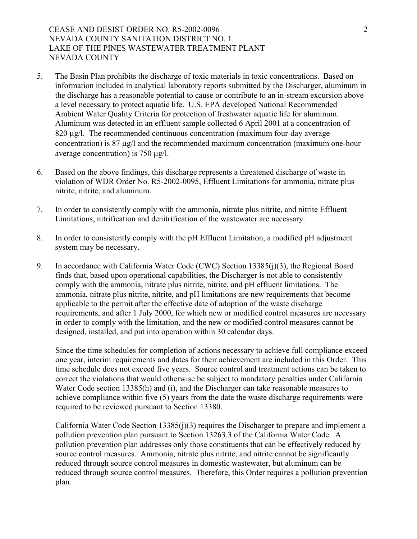# CEASE AND DESIST ORDER NO. R5-2002-0096 NEVADA COUNTY SANITATION DISTRICT NO. 1 LAKE OF THE PINES WASTEWATER TREATMENT PLANT NEVADA COUNTY

- 5. The Basin Plan prohibits the discharge of toxic materials in toxic concentrations. Based on information included in analytical laboratory reports submitted by the Discharger, aluminum in the discharge has a reasonable potential to cause or contribute to an in-stream excursion above a level necessary to protect aquatic life. U.S. EPA developed National Recommended Ambient Water Quality Criteria for protection of freshwater aquatic life for aluminum. Aluminum was detected in an effluent sample collected 6 April 2001 at a concentration of 820 µg/l. The recommended continuous concentration (maximum four-day average concentration) is 87 µg/l and the recommended maximum concentration (maximum one-hour average concentration) is 750 µg/l.
- 6. Based on the above findings, this discharge represents a threatened discharge of waste in violation of WDR Order No. R5-2002-0095, Effluent Limitations for ammonia, nitrate plus nitrite, nitrite, and aluminum.
- 7. In order to consistently comply with the ammonia, nitrate plus nitrite, and nitrite Effluent Limitations, nitrification and denitrification of the wastewater are necessary.
- 8. In order to consistently comply with the pH Effluent Limitation, a modified pH adjustment system may be necessary.
- 9. In accordance with California Water Code (CWC) Section 13385(j)(3), the Regional Board finds that, based upon operational capabilities, the Discharger is not able to consistently comply with the ammonia, nitrate plus nitrite, nitrite, and pH effluent limitations. The ammonia, nitrate plus nitrite, nitrite, and pH limitations are new requirements that become applicable to the permit after the effective date of adoption of the waste discharge requirements, and after 1 July 2000, for which new or modified control measures are necessary in order to comply with the limitation, and the new or modified control measures cannot be designed, installed, and put into operation within 30 calendar days.

Since the time schedules for completion of actions necessary to achieve full compliance exceed one year, interim requirements and dates for their achievement are included in this Order. This time schedule does not exceed five years. Source control and treatment actions can be taken to correct the violations that would otherwise be subject to mandatory penalties under California Water Code section 13385(h) and (i), and the Discharger can take reasonable measures to achieve compliance within five (5) years from the date the waste discharge requirements were required to be reviewed pursuant to Section 13380.

California Water Code Section 13385(j)(3) requires the Discharger to prepare and implement a pollution prevention plan pursuant to Section 13263.3 of the California Water Code. A pollution prevention plan addresses only those constituents that can be effectively reduced by source control measures. Ammonia, nitrate plus nitrite, and nitrite cannot be significantly reduced through source control measures in domestic wastewater, but aluminum can be reduced through source control measures. Therefore, this Order requires a pollution prevention plan.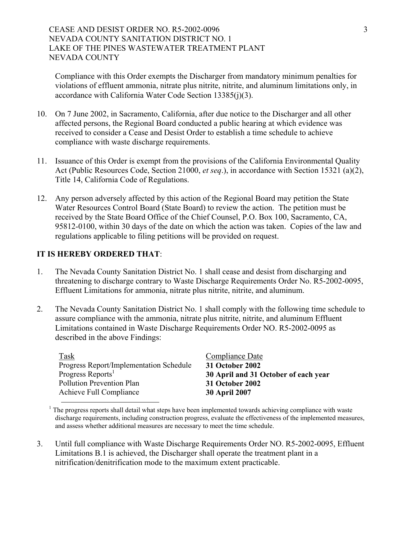CEASE AND DESIST ORDER NO. R5-2002-0096 NEVADA COUNTY SANITATION DISTRICT NO. 1 LAKE OF THE PINES WASTEWATER TREATMENT PLANT NEVADA COUNTY

Compliance with this Order exempts the Discharger from mandatory minimum penalties for violations of effluent ammonia, nitrate plus nitrite, nitrite, and aluminum limitations only, in accordance with California Water Code Section 13385(j)(3).

- 10. On 7 June 2002, in Sacramento, California, after due notice to the Discharger and all other affected persons, the Regional Board conducted a public hearing at which evidence was received to consider a Cease and Desist Order to establish a time schedule to achieve compliance with waste discharge requirements.
- 11. Issuance of this Order is exempt from the provisions of the California Environmental Quality Act (Public Resources Code, Section 21000, *et seq*.), in accordance with Section 15321 (a)(2), Title 14, California Code of Regulations.
- 12. Any person adversely affected by this action of the Regional Board may petition the State Water Resources Control Board (State Board) to review the action. The petition must be received by the State Board Office of the Chief Counsel, P.O. Box 100, Sacramento, CA, 95812-0100, within 30 days of the date on which the action was taken. Copies of the law and regulations applicable to filing petitions will be provided on request.

#### **IT IS HEREBY ORDERED THAT**:

- 1. The Nevada County Sanitation District No. 1 shall cease and desist from discharging and threatening to discharge contrary to Waste Discharge Requirements Order No. R5-2002-0095, Effluent Limitations for ammonia, nitrate plus nitrite, nitrite, and aluminum.
- 2. The Nevada County Sanitation District No. 1 shall comply with the following time schedule to assure compliance with the ammonia, nitrate plus nitrite, nitrite, and aluminum Effluent Limitations contained in Waste Discharge Requirements Order NO. R5-2002-0095 as described in the above Findings:

Task Compliance Date Progress Report/Implementation Schedule **31 October 2002**  Progress Reports<sup>1</sup> 30 April and 31 October of each year Pollution Prevention Plan **31 October 2002** Achieve Full Compliance **30 April 2007**

<sup>1</sup> The progress reports shall detail what steps have been implemented towards achieving compliance with waste discharge requirements, including construction progress, evaluate the effectiveness of the implemented measures, and assess whether additional measures are necessary to meet the time schedule.

3. Until full compliance with Waste Discharge Requirements Order NO. R5-2002-0095, Effluent Limitations B.1 is achieved, the Discharger shall operate the treatment plant in a nitrification/denitrification mode to the maximum extent practicable.